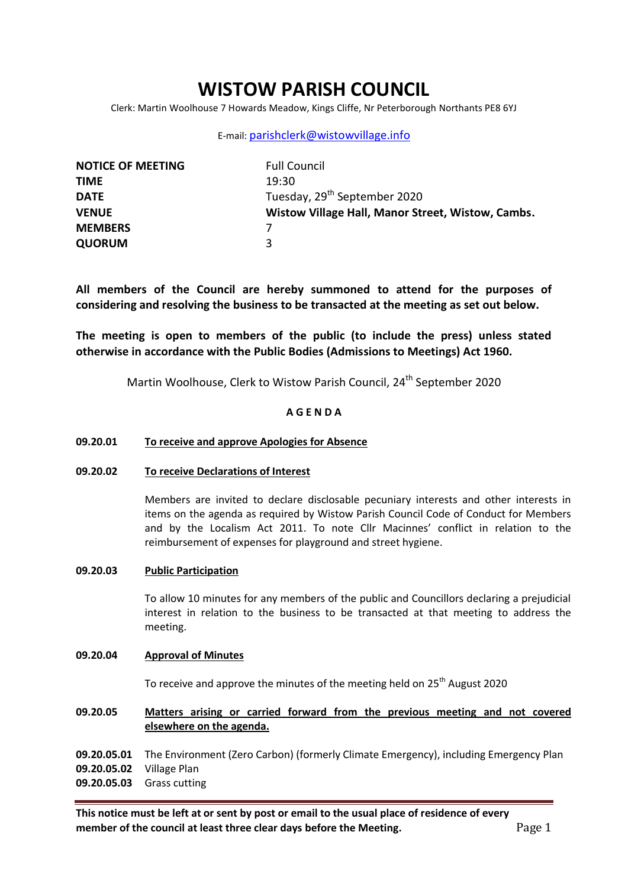# **WISTOW PARISH COUNCIL**

Clerk: Martin Woolhouse 7 Howards Meadow, Kings Cliffe, Nr Peterborough Northants PE8 6YJ

### E-mail: [parishclerk@wistowvillage.info](mailto:parishclerk@wistowvillage.info)

| <b>NOTICE OF MEETING</b> | <b>Full Council</b>                               |
|--------------------------|---------------------------------------------------|
| <b>TIME</b>              | 19:30                                             |
| <b>DATE</b>              | Tuesday, 29 <sup>th</sup> September 2020          |
| <b>VENUE</b>             | Wistow Village Hall, Manor Street, Wistow, Cambs. |
| <b>MEMBERS</b>           |                                                   |
| <b>QUORUM</b>            | ર                                                 |

**All members of the Council are hereby summoned to attend for the purposes of considering and resolving the business to be transacted at the meeting as set out below.**

**The meeting is open to members of the public (to include the press) unless stated otherwise in accordance with the Public Bodies (Admissions to Meetings) Act 1960.**

Martin Woolhouse, Clerk to Wistow Parish Council, 24<sup>th</sup> September 2020

### **A G E N D A**

### **09.20.01 To receive and approve Apologies for Absence**

### **09.20.02 To receive Declarations of Interest**

Members are invited to declare disclosable pecuniary interests and other interests in items on the agenda as required by Wistow Parish Council Code of Conduct for Members and by the Localism Act 2011. To note Cllr Macinnes' conflict in relation to the reimbursement of expenses for playground and street hygiene.

### **09.20.03 Public Participation**

To allow 10 minutes for any members of the public and Councillors declaring a prejudicial interest in relation to the business to be transacted at that meeting to address the meeting.

### **09.20.04 Approval of Minutes**

To receive and approve the minutes of the meeting held on 25<sup>th</sup> August 2020

### **09.20.05 Matters arising or carried forward from the previous meeting and not covered elsewhere on the agenda.**

**09.20.05.01** The Environment (Zero Carbon) (formerly Climate Emergency), including Emergency Plan **09.20.05.02** Village Plan

**09.20.05.03** Grass cutting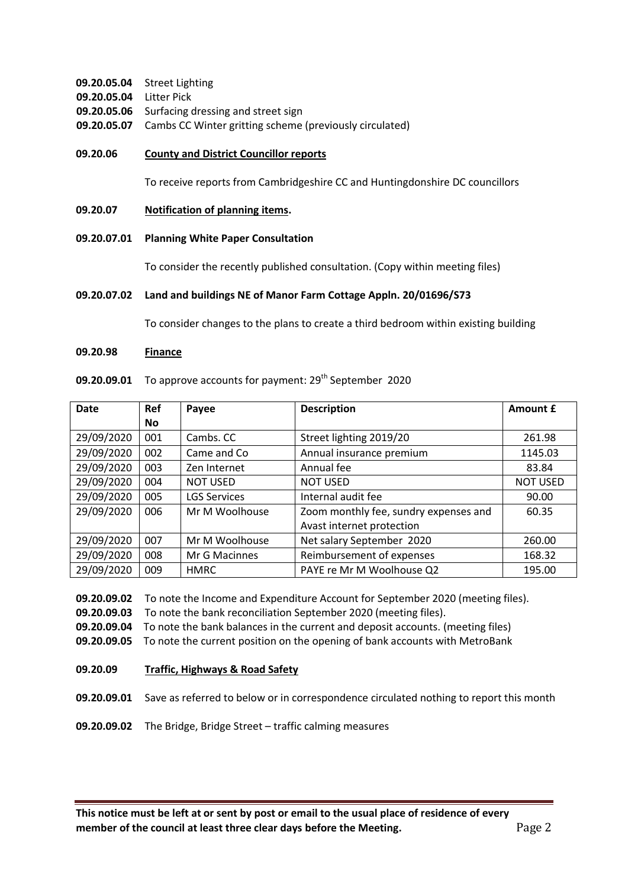- **09.20.05.04** Street Lighting
- **09.20.05.04** Litter Pick
- **09.20.05.06** Surfacing dressing and street sign
- **09.20.05.07** Cambs CC Winter gritting scheme (previously circulated)
- **09.20.06 County and District Councillor reports**

To receive reports from Cambridgeshire CC and Huntingdonshire DC councillors

- **09.20.07 Notification of planning items.**
- **09.20.07.01 Planning White Paper Consultation**

To consider the recently published consultation. (Copy within meeting files)

## **09.20.07.02 Land and buildings NE of Manor Farm Cottage Appln. 20/01696/S73**

To consider changes to the plans to create a third bedroom within existing building

#### **09.20.98 Finance**

| <b>Date</b> | <b>Ref</b> | Payee               | <b>Description</b>                    | Amount £        |
|-------------|------------|---------------------|---------------------------------------|-----------------|
|             | No.        |                     |                                       |                 |
| 29/09/2020  | 001        | Cambs. CC           | Street lighting 2019/20               | 261.98          |
| 29/09/2020  | 002        | Came and Co         | Annual insurance premium              | 1145.03         |
| 29/09/2020  | 003        | Zen Internet        | Annual fee                            | 83.84           |
| 29/09/2020  | 004        | <b>NOT USED</b>     | <b>NOT USED</b>                       | <b>NOT USED</b> |
| 29/09/2020  | 005        | <b>LGS Services</b> | Internal audit fee                    | 90.00           |
| 29/09/2020  | 006        | Mr M Woolhouse      | Zoom monthly fee, sundry expenses and | 60.35           |
|             |            |                     | Avast internet protection             |                 |
| 29/09/2020  | 007        | Mr M Woolhouse      | Net salary September 2020             | 260.00          |
| 29/09/2020  | 008        | Mr G Macinnes       | Reimbursement of expenses             | 168.32          |
| 29/09/2020  | 009        | <b>HMRC</b>         | PAYE re Mr M Woolhouse Q2             | 195.00          |

**09.20.09.01** To approve accounts for payment: 29<sup>th</sup> September 2020

**09.20.09.02** To note the Income and Expenditure Account for September 2020 (meeting files).

**09.20.09.03** To note the bank reconciliation September 2020 (meeting files).

**09.20.09.04** To note the bank balances in the current and deposit accounts. (meeting files)

**09.20.09.05** To note the current position on the opening of bank accounts with MetroBank

**09.20.09 Traffic, Highways & Road Safety**

**09.20.09.01** Save as referred to below or in correspondence circulated nothing to report this month

**09.20.09.02** The Bridge, Bridge Street – traffic calming measures